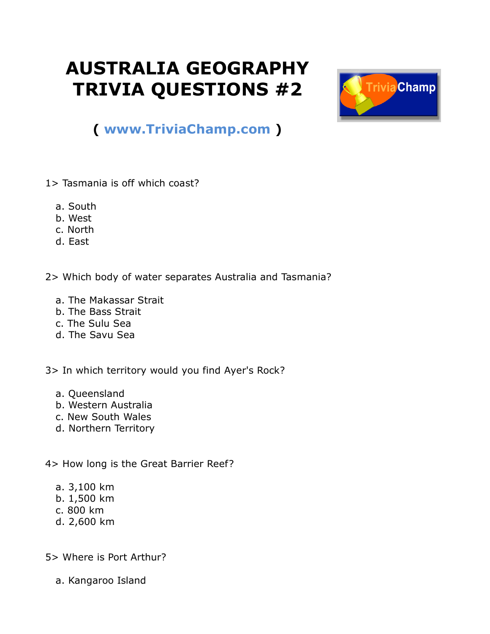## **AUSTRALIA GEOGRAPHY TRIVIA QUESTIONS #2**



## **( [www.TriviaChamp.com](http://www.triviachamp.com/) )**

- 1> Tasmania is off which coast?
	- a. South
	- b. West
	- c. North
	- d. East
- 2> Which body of water separates Australia and Tasmania?
	- a. The Makassar Strait
	- b. The Bass Strait
	- c. The Sulu Sea
	- d. The Savu Sea

3> In which territory would you find Ayer's Rock?

- a. Queensland
- b. Western Australia
- c. New South Wales
- d. Northern Territory

4> How long is the Great Barrier Reef?

- a. 3,100 km
- b. 1,500 km
- c. 800 km
- d. 2,600 km

5> Where is Port Arthur?

a. Kangaroo Island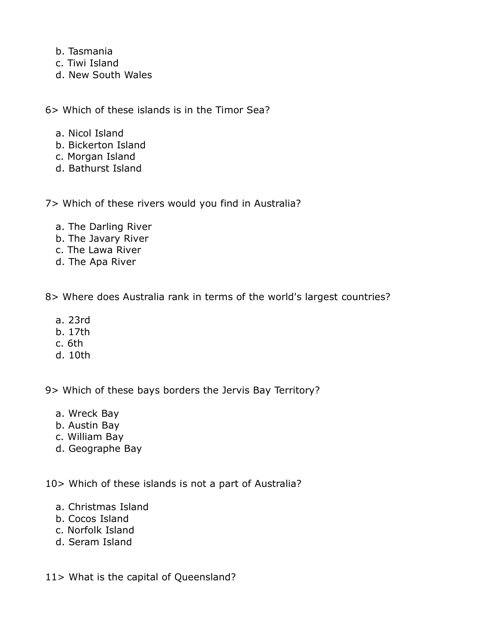- b. Tasmania
- c. Tiwi Island
- d. New South Wales

6> Which of these islands is in the Timor Sea?

- a. Nicol Island
- b. Bickerton Island
- c. Morgan Island
- d. Bathurst Island

7> Which of these rivers would you find in Australia?

- a. The Darling River
- b. The Javary River
- c. The Lawa River
- d. The Apa River

8> Where does Australia rank in terms of the world's largest countries?

- a. 23rd
- b. 17th
- c. 6th
- d. 10th

9> Which of these bays borders the Jervis Bay Territory?

- a. Wreck Bay
- b. Austin Bay
- c. William Bay
- d. Geographe Bay

10> Which of these islands is not a part of Australia?

- a. Christmas Island
- b. Cocos Island
- c. Norfolk Island
- d. Seram Island

11> What is the capital of Queensland?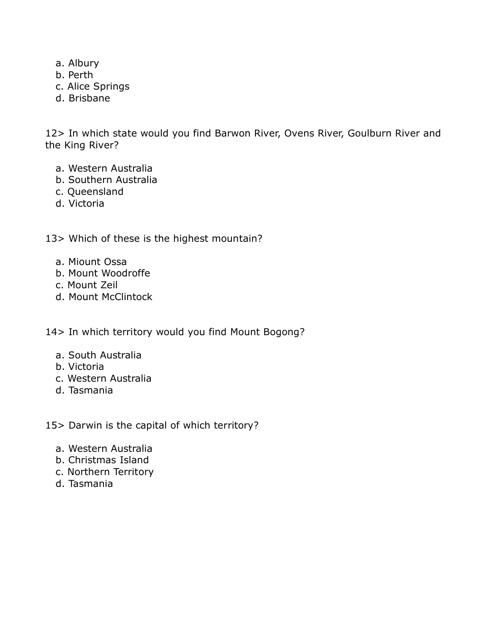- a. Albury
- b. Perth
- c. Alice Springs
- d. Brisbane

12> In which state would you find Barwon River, Ovens River, Goulburn River and the King River?

- a. Western Australia
- b. Southern Australia
- c. Queensland
- d. Victoria

13> Which of these is the highest mountain?

- a. Miount Ossa
- b. Mount Woodroffe
- c. Mount Zeil
- d. Mount McClintock

14> In which territory would you find Mount Bogong?

- a. South Australia
- b. Victoria
- c. Western Australia
- d. Tasmania

15> Darwin is the capital of which territory?

- a. Western Australia
- b. Christmas Island
- c. Northern Territory
- d. Tasmania